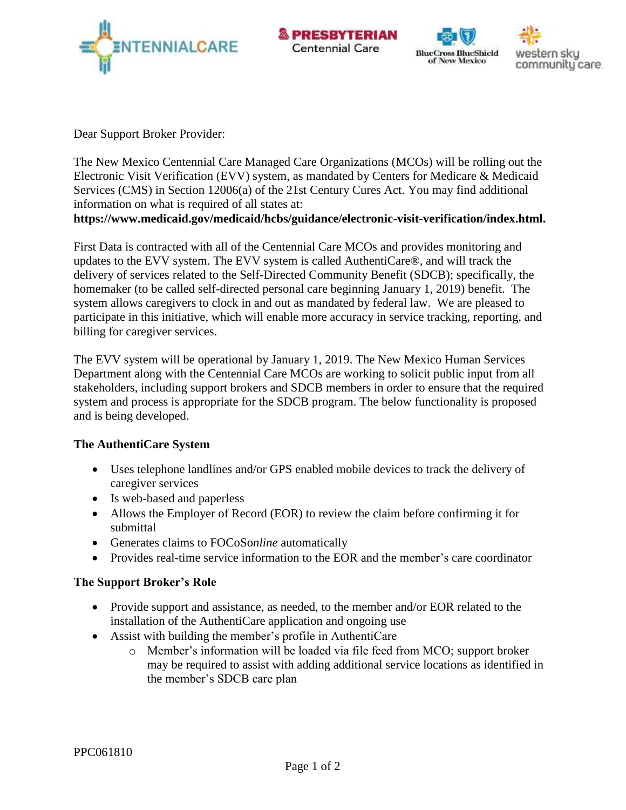







Dear Support Broker Provider:

The New Mexico Centennial Care Managed Care Organizations (MCOs) will be rolling out the Electronic Visit Verification (EVV) system, as mandated by Centers for Medicare & Medicaid Services (CMS) in Section 12006(a) of the 21st Century Cures Act. You may find additional information on what is required of all states at:

**[https://www.medicaid.gov/medicaid/hcbs/guidance/electronic-visit-verification/index.html.](https://www.medicaid.gov/medicaid/hcbs/guidance/electronic-visit-verification/index.html)**

First Data is contracted with all of the Centennial Care MCOs and provides monitoring and updates to the EVV system. The EVV system is called AuthentiCare®, and will track the delivery of services related to the Self-Directed Community Benefit (SDCB); specifically, the homemaker (to be called self-directed personal care beginning January 1, 2019) benefit. The system allows caregivers to clock in and out as mandated by federal law. We are pleased to participate in this initiative, which will enable more accuracy in service tracking, reporting, and billing for caregiver services.

The EVV system will be operational by January 1, 2019. The New Mexico Human Services Department along with the Centennial Care MCOs are working to solicit public input from all stakeholders, including support brokers and SDCB members in order to ensure that the required system and process is appropriate for the SDCB program. The below functionality is proposed and is being developed.

## **The AuthentiCare System**

- Uses telephone landlines and/or GPS enabled mobile devices to track the delivery of caregiver services
- Is web-based and paperless
- Allows the Employer of Record (EOR) to review the claim before confirming it for submittal
- Generates claims to FOCoSo*nline* automatically
- Provides real-time service information to the EOR and the member's care coordinator

### **The Support Broker's Role**

- Provide support and assistance, as needed, to the member and/or EOR related to the installation of the AuthentiCare application and ongoing use
- Assist with building the member's profile in AuthentiCare
	- o Member's information will be loaded via file feed from MCO; support broker may be required to assist with adding additional service locations as identified in the member's SDCB care plan